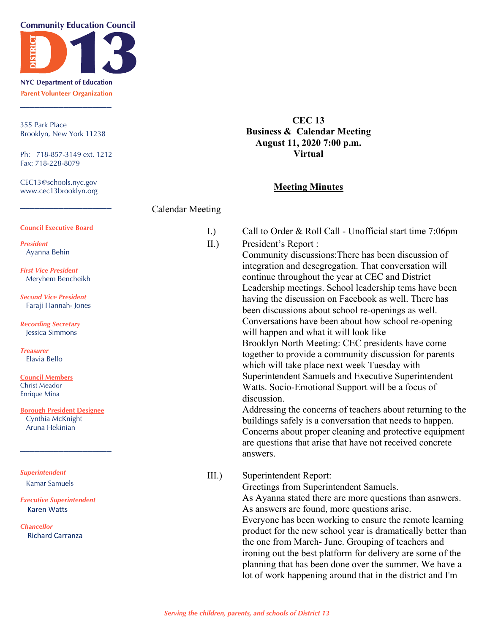**Community Education Council** 



**NYC Department of Education Parent Volunteer Organization** \_\_\_\_\_\_\_\_\_\_\_\_\_\_\_\_\_\_\_

355 Park Place Brooklyn, New York 11238

Ph: 718-857-3149 ext. 1212 Fax: 718-228-8079

CEC13@schools.nyc.gov www.cec13brooklyn.org

**CEC 13 Business & Calendar Meeting August 11, 2020 7:00 p.m. Virtual**

## **Meeting Minutes**

|                                                                                  | <b>Calendar Meeting</b> |                                                                                                                                                                                                                                                                                                                                                                                                                                                                                                                                                                                                                                                     |
|----------------------------------------------------------------------------------|-------------------------|-----------------------------------------------------------------------------------------------------------------------------------------------------------------------------------------------------------------------------------------------------------------------------------------------------------------------------------------------------------------------------------------------------------------------------------------------------------------------------------------------------------------------------------------------------------------------------------------------------------------------------------------------------|
| <b>Council Executive Board</b>                                                   | I.)                     | Call to Order & Roll Call - Unofficial start time 7:06pm                                                                                                                                                                                                                                                                                                                                                                                                                                                                                                                                                                                            |
| <b>President</b><br>Ayanna Behin                                                 | II.)                    | President's Report :<br>Community discussions: There has been discussion of<br>integration and desegregation. That conversation will<br>continue throughout the year at CEC and District<br>Leadership meetings. School leadership tems have been                                                                                                                                                                                                                                                                                                                                                                                                   |
| <b>First Vice President</b><br>Meryhem Bencheikh<br><b>Second Vice President</b> |                         |                                                                                                                                                                                                                                                                                                                                                                                                                                                                                                                                                                                                                                                     |
| Faraji Hannah- Jones                                                             |                         | having the discussion on Facebook as well. There has<br>been discussions about school re-openings as well.                                                                                                                                                                                                                                                                                                                                                                                                                                                                                                                                          |
| <b>Recording Secretary</b><br><b>Jessica Simmons</b>                             |                         | Conversations have been about how school re-opening<br>will happen and what it will look like<br>Brooklyn North Meeting: CEC presidents have come<br>together to provide a community discussion for parents<br>which will take place next week Tuesday with<br>Superintendent Samuels and Executive Superintendent<br>Watts. Socio-Emotional Support will be a focus of<br>discussion.<br>Addressing the concerns of teachers about returning to the<br>buildings safely is a conversation that needs to happen.<br>Concerns about proper cleaning and protective equipment<br>are questions that arise that have not received concrete<br>answers. |
| <b>Treasurer</b><br>Elavia Bello                                                 |                         |                                                                                                                                                                                                                                                                                                                                                                                                                                                                                                                                                                                                                                                     |
| <u> Council Members</u><br><b>Christ Meador</b><br><b>Enrique Mina</b>           |                         |                                                                                                                                                                                                                                                                                                                                                                                                                                                                                                                                                                                                                                                     |
| <b>Borough President Designee</b><br>Cynthia McKnight<br>Aruna Hekinian          |                         |                                                                                                                                                                                                                                                                                                                                                                                                                                                                                                                                                                                                                                                     |
| <b>Superintendent</b>                                                            | III.                    | Superintendent Report:                                                                                                                                                                                                                                                                                                                                                                                                                                                                                                                                                                                                                              |
| <b>Kamar Samuels</b>                                                             |                         | Greetings from Superintendent Samuels.                                                                                                                                                                                                                                                                                                                                                                                                                                                                                                                                                                                                              |
| <b>Executive Superintendent</b><br><b>Karen Watts</b>                            |                         | As Ayanna stated there are more questions than asnwers.<br>As answers are found, more questions arise.<br>Everyone has been working to ensure the remote learning<br>product for the new school year is dramatically better than<br>the one from March- June. Grouping of teachers and<br>ironing out the best platform for delivery are some of the<br>planning that has been done over the summer. We have a<br>lot of work happening around that in the district and I'm                                                                                                                                                                         |
| <b>Chancellor</b><br><b>Richard Carranza</b>                                     |                         |                                                                                                                                                                                                                                                                                                                                                                                                                                                                                                                                                                                                                                                     |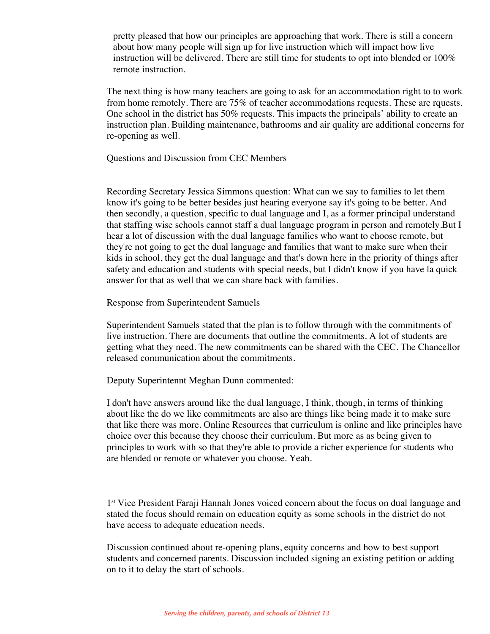pretty pleased that how our principles are approaching that work. There is still a concern about how many people will sign up for live instruction which will impact how live instruction will be delivered. There are still time for students to opt into blended or 100% remote instruction.

The next thing is how many teachers are going to ask for an accommodation right to to work from home remotely. There are 75% of teacher accommodations requests. These are rquests. One school in the district has 50% requests. This impacts the principals' ability to create an instruction plan. Building maintenance, bathrooms and air quality are additional concerns for re-opening as well.

Questions and Discussion from CEC Members

Recording Secretary Jessica Simmons question: What can we say to families to let them know it's going to be better besides just hearing everyone say it's going to be better. And then secondly, a question, specific to dual language and I, as a former principal understand that staffing wise schools cannot staff a dual language program in person and remotely.But I hear a lot of discussion with the dual language families who want to choose remote, but they're not going to get the dual language and families that want to make sure when their kids in school, they get the dual language and that's down here in the priority of things after safety and education and students with special needs, but I didn't know if you have la quick answer for that as well that we can share back with families.

Response from Superintendent Samuels

Superintendent Samuels stated that the plan is to follow through with the commitments of live instruction. There are documents that outline the commitments. A lot of students are getting what they need. The new commitments can be shared with the CEC. The Chancellor released communication about the commitments.

Deputy Superintennt Meghan Dunn commented:

I don't have answers around like the dual language, I think, though, in terms of thinking about like the do we like commitments are also are things like being made it to make sure that like there was more. Online Resources that curriculum is online and like principles have choice over this because they choose their curriculum. But more as as being given to principles to work with so that they're able to provide a richer experience for students who are blended or remote or whatever you choose. Yeah.

1st Vice President Faraji Hannah Jones voiced concern about the focus on dual language and stated the focus should remain on education equity as some schools in the district do not have access to adequate education needs.

Discussion continued about re-opening plans, equity concerns and how to best support students and concerned parents. Discussion included signing an existing petition or adding on to it to delay the start of schools.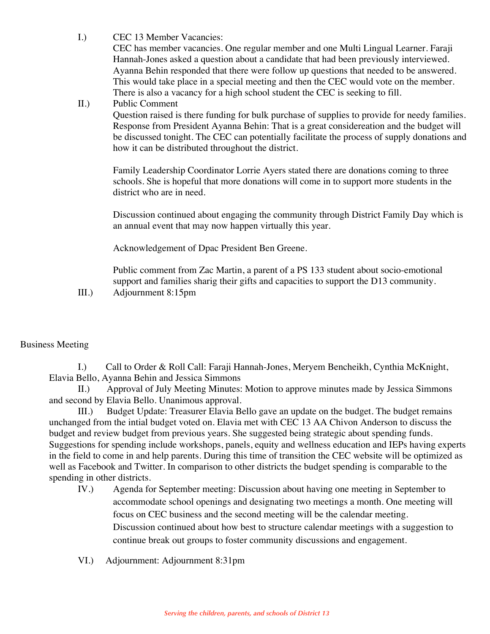I.) CEC 13 Member Vacancies:

CEC has member vacancies. One regular member and one Multi Lingual Learner. Faraji Hannah-Jones asked a question about a candidate that had been previously interviewed. Ayanna Behin responded that there were follow up questions that needed to be answered. This would take place in a special meeting and then the CEC would vote on the member. There is also a vacancy for a high school student the CEC is seeking to fill.

## II.) Public Comment

Question raised is there funding for bulk purchase of supplies to provide for needy families. Response from President Ayanna Behin: That is a great considereation and the budget will be discussed tonight. The CEC can potentially facilitate the process of supply donations and how it can be distributed throughout the district.

Family Leadership Coordinator Lorrie Ayers stated there are donations coming to three schools. She is hopeful that more donations will come in to support more students in the district who are in need.

Discussion continued about engaging the community through District Family Day which is an annual event that may now happen virtually this year.

Acknowledgement of Dpac President Ben Greene.

Public comment from Zac Martin, a parent of a PS 133 student about socio-emotional support and families sharig their gifts and capacities to support the D13 community.

III.) Adjournment 8:15pm

## Business Meeting

I.) Call to Order & Roll Call: Faraji Hannah-Jones, Meryem Bencheikh, Cynthia McKnight, Elavia Bello, Ayanna Behin and Jessica Simmons

II.) Approval of July Meeting Minutes: Motion to approve minutes made by Jessica Simmons and second by Elavia Bello. Unanimous approval.

III.) Budget Update: Treasurer Elavia Bello gave an update on the budget. The budget remains unchanged from the intial budget voted on. Elavia met with CEC 13 AA Chivon Anderson to discuss the budget and review budget from previous years. She suggested being strategic about spending funds. Suggestions for spending include workshops, panels, equity and wellness education and IEPs having experts in the field to come in and help parents. During this time of transition the CEC website will be optimized as well as Facebook and Twitter. In comparison to other districts the budget spending is comparable to the spending in other districts.

- IV.) Agenda for September meeting: Discussion about having one meeting in September to accommodate school openings and designating two meetings a month. One meeting will focus on CEC business and the second meeting will be the calendar meeting. Discussion continued about how best to structure calendar meetings with a suggestion to continue break out groups to foster community discussions and engagement.
- VI.) Adjournment: Adjournment 8:31pm